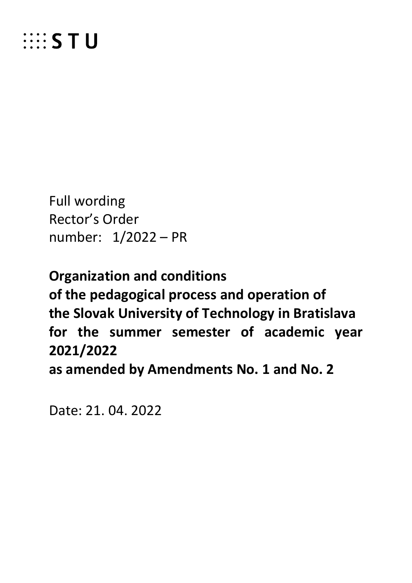

Full wording Rector's Order number: 1/2022 – PR

**Organization and conditions of the pedagogical process and operation of the Slovak University of Technology in Bratislava for the summer semester of academic year 2021/2022**

**as amended by Amendments No. 1 and No. 2**

Date: 21. 04. 2022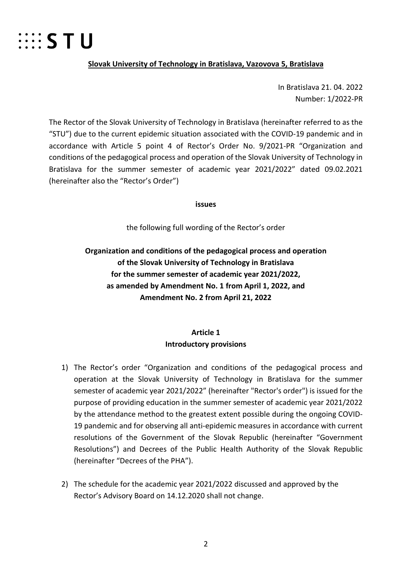

#### **Slovak University of Technology in Bratislava, Vazovova 5, Bratislava**

In Bratislava 21. 04. 2022 Number: 1/2022-PR

The Rector of the Slovak University of Technology in Bratislava (hereinafter referred to as the "STU") due to the current epidemic situation associated with the COVID-19 pandemic and in accordance with Article 5 point 4 of Rector's Order No. 9/2021-PR "Organization and conditions of the pedagogical process and operation of the Slovak University of Technology in Bratislava for the summer semester of academic year 2021/2022" dated 09.02.2021 (hereinafter also the "Rector's Order")

**issues**

the following full wording of the Rector's order

# **Organization and conditions of the pedagogical process and operation of the Slovak University of Technology in Bratislava for the summer semester of academic year 2021/2022, as amended by Amendment No. 1 from April 1, 2022, and Amendment No. 2 from April 21, 2022**

## **Article 1 Introductory provisions**

- 1) The Rector's order "Organization and conditions of the pedagogical process and operation at the Slovak University of Technology in Bratislava for the summer semester of academic year 2021/2022" (hereinafter "Rector's order") is issued for the purpose of providing education in the summer semester of academic year 2021/2022 by the attendance method to the greatest extent possible during the ongoing COVID-19 pandemic and for observing all anti-epidemic measures in accordance with current resolutions of the Government of the Slovak Republic (hereinafter "Government Resolutions") and Decrees of the Public Health Authority of the Slovak Republic (hereinafter "Decrees of the PHA").
- 2) The schedule for the academic year 2021/2022 discussed and approved by the Rector's Advisory Board on 14.12.2020 shall not change.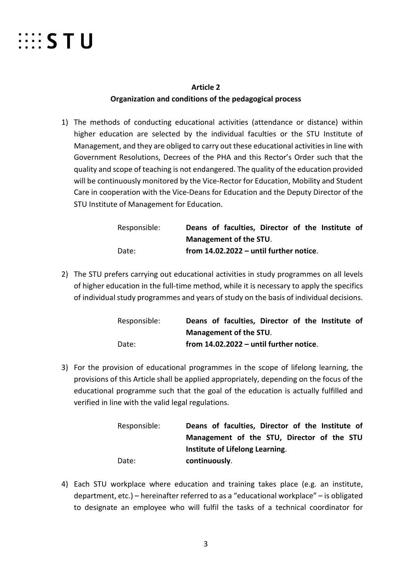

## **Article 2 Organization and conditions of the pedagogical process**

1) The methods of conducting educational activities (attendance or distance) within higher education are selected by the individual faculties or the STU Institute of Management, and they are obliged to carry out these educational activities in line with Government Resolutions, Decrees of the PHA and this Rector's Order such that the quality and scope of teaching is not endangered. The quality of the education provided will be continuously monitored by the Vice-Rector for Education, Mobility and Student Care in cooperation with the Vice-Deans for Education and the Deputy Director of the STU Institute of Management for Education.

| Responsible: |  | Deans of faculties, Director of the Institute of |  |  |  |
|--------------|--|--------------------------------------------------|--|--|--|
|              |  | Management of the STU.                           |  |  |  |
| Date:        |  | from 14.02.2022 - until further notice.          |  |  |  |

2) The STU prefers carrying out educational activities in study programmes on all levels of higher education in the full-time method, while it is necessary to apply the specifics of individual study programmes and years of study on the basis of individual decisions.

| Responsible: |  | Deans of faculties, Director of the Institute of |  |  |  |
|--------------|--|--------------------------------------------------|--|--|--|
|              |  | Management of the STU.                           |  |  |  |
| Date:        |  | from $14.02.2022 -$ until further notice.        |  |  |  |

3) For the provision of educational programmes in the scope of lifelong learning, the provisions of this Article shall be applied appropriately, depending on the focus of the educational programme such that the goal of the education is actually fulfilled and verified in line with the valid legal regulations.

| Responsible: | Deans of faculties, Director of the Institute of |
|--------------|--------------------------------------------------|
|              | Management of the STU, Director of the STU       |
|              | Institute of Lifelong Learning.                  |
| Date:        | continuously.                                    |

4) Each STU workplace where education and training takes place (e.g. an institute, department, etc.) – hereinafter referred to as a "educational workplace" – is obligated to designate an employee who will fulfil the tasks of a technical coordinator for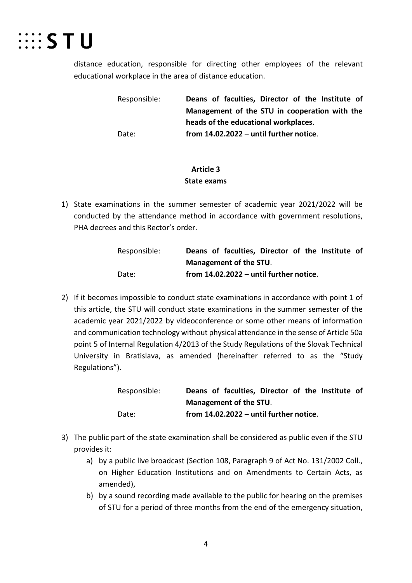

distance education, responsible for directing other employees of the relevant educational workplace in the area of distance education.

> Responsible: **Deans of faculties, Director of the Institute of Management of the STU in cooperation with the heads of the educational workplaces**. Date: **from 14.02.2022 – until further notice**.

## **Article 3 State exams**

1) State examinations in the summer semester of academic year 2021/2022 will be conducted by the attendance method in accordance with government resolutions, PHA decrees and this Rector's order.

| Responsible: | Deans of faculties, Director of the Institute of |
|--------------|--------------------------------------------------|
|              | Management of the STU.                           |
| Date:        | from $14.02.2022 -$ until further notice.        |

2) If it becomes impossible to conduct state examinations in accordance with point 1 of this article, the STU will conduct state examinations in the summer semester of the academic year 2021/2022 by videoconference or some other means of information and communication technology without physical attendance in the sense of Article 50a point 5 of Internal Regulation 4/2013 of the Study Regulations of the Slovak Technical University in Bratislava, as amended (hereinafter referred to as the "Study Regulations").

| Responsible: |  | Deans of faculties, Director of the Institute of |  |  |  |
|--------------|--|--------------------------------------------------|--|--|--|
|              |  | Management of the STU.                           |  |  |  |
| Date:        |  | from $14.02.2022 -$ until further notice.        |  |  |  |

- 3) The public part of the state examination shall be considered as public even if the STU provides it:
	- a) by a public live broadcast (Section 108, Paragraph 9 of Act No. 131/2002 Coll., on Higher Education Institutions and on Amendments to Certain Acts, as amended),
	- b) by a sound recording made available to the public for hearing on the premises of STU for a period of three months from the end of the emergency situation,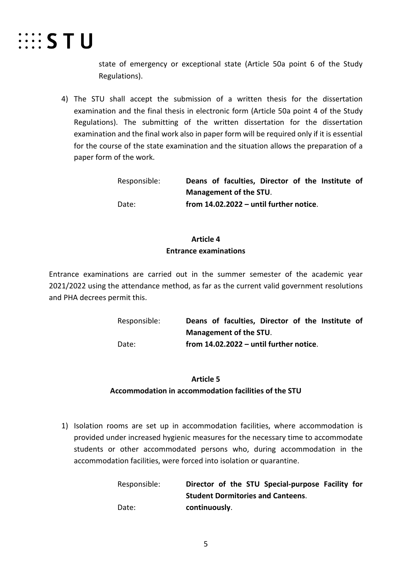

state of emergency or exceptional state (Article 50a point 6 of the Study Regulations).

4) The STU shall accept the submission of a written thesis for the dissertation examination and the final thesis in electronic form (Article 50a point 4 of the Study Regulations). The submitting of the written dissertation for the dissertation examination and the final work also in paper form will be required only if it is essential for the course of the state examination and the situation allows the preparation of a paper form of the work.

| Responsible: |  | Deans of faculties, Director of the Institute of |  |  |  |
|--------------|--|--------------------------------------------------|--|--|--|
|              |  | Management of the STU.                           |  |  |  |
| Date:        |  | from 14.02.2022 - until further notice.          |  |  |  |

## **Article 4 Entrance examinations**

Entrance examinations are carried out in the summer semester of the academic year 2021/2022 using the attendance method, as far as the current valid government resolutions and PHA decrees permit this.

> Responsible: **Deans of faculties, Director of the Institute of Management of the STU**. Date: **from 14.02.2022 – until further notice**.

#### **Article 5**

### **Accommodation in accommodation facilities of the STU**

1) Isolation rooms are set up in accommodation facilities, where accommodation is provided under increased hygienic measures for the necessary time to accommodate students or other accommodated persons who, during accommodation in the accommodation facilities, were forced into isolation or quarantine.

> Responsible: **Director of the STU Special-purpose Facility for Student Dormitories and Canteens**. Date: **continuously**.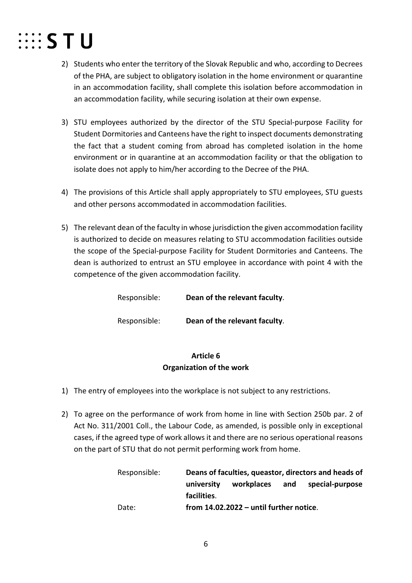

- 2) Students who enter the territory of the Slovak Republic and who, according to Decrees of the PHA, are subject to obligatory isolation in the home environment or quarantine in an accommodation facility, shall complete this isolation before accommodation in an accommodation facility, while securing isolation at their own expense.
- 3) STU employees authorized by the director of the STU Special-purpose Facility for Student Dormitories and Canteens have the right to inspect documents demonstrating the fact that a student coming from abroad has completed isolation in the home environment or in quarantine at an accommodation facility or that the obligation to isolate does not apply to him/her according to the Decree of the PHA.
- 4) The provisions of this Article shall apply appropriately to STU employees, STU guests and other persons accommodated in accommodation facilities.
- 5) The relevant dean of the faculty in whose jurisdiction the given accommodation facility is authorized to decide on measures relating to STU accommodation facilities outside the scope of the Special-purpose Facility for Student Dormitories and Canteens. The dean is authorized to entrust an STU employee in accordance with point 4 with the competence of the given accommodation facility.

Responsible: **Dean of the relevant faculty**.

Responsible: **Dean of the relevant faculty**.

## **Article 6 Organization of the work**

- 1) The entry of employees into the workplace is not subject to any restrictions.
- 2) To agree on the performance of work from home in line with Section 250b par. 2 of Act No. 311/2001 Coll., the Labour Code, as amended, is possible only in exceptional cases, if the agreed type of work allows it and there are no serious operational reasons on the part of STU that do not permit performing work from home.

| Responsible: | Deans of faculties, queastor, directors and heads of |                                           |     |                 |
|--------------|------------------------------------------------------|-------------------------------------------|-----|-----------------|
|              | university                                           | workplaces                                | and | special-purpose |
|              | facilities.                                          |                                           |     |                 |
| Date:        |                                                      | from $14.02.2022 -$ until further notice. |     |                 |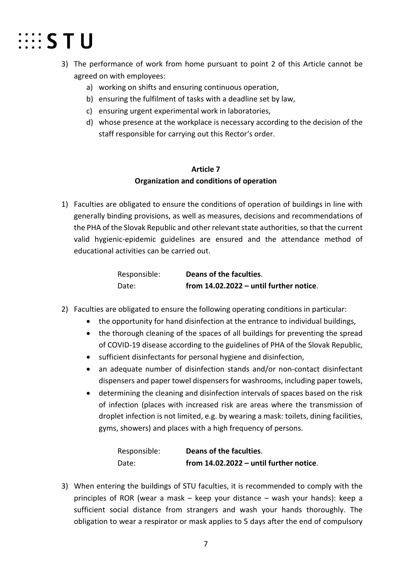

- 3) The performance of work from home pursuant to point 2 of this Article cannot be agreed on with employees:
	- a) working on shifts and ensuring continuous operation,
	- b) ensuring the fulfilment of tasks with a deadline set by law,
	- c) ensuring urgent experimental work in laboratories,
	- d) whose presence at the workplace is necessary according to the decision of the staff responsible for carrying out this Rector's order.

## **Article 7 Organization and conditions of operation**

1) Faculties are obligated to ensure the conditions of operation of buildings in line with generally binding provisions, as well as measures, decisions and recommendations of the PHA of the Slovak Republic and other relevant state authorities, so that the current valid hygienic-epidemic guidelines are ensured and the attendance method of educational activities can be carried out.

| Responsible: | Deans of the faculties.                   |
|--------------|-------------------------------------------|
| Date:        | from $14.02.2022 -$ until further notice. |

- 2) Faculties are obligated to ensure the following operating conditions in particular:
	- the opportunity for hand disinfection at the entrance to individual buildings,
	- the thorough cleaning of the spaces of all buildings for preventing the spread of COVID-19 disease according to the guidelines of PHA of the Slovak Republic,
	- sufficient disinfectants for personal hygiene and disinfection,
	- an adequate number of disinfection stands and/or non-contact disinfectant dispensers and paper towel dispensers for washrooms, including paper towels,
	- determining the cleaning and disinfection intervals of spaces based on the risk of infection (places with increased risk are areas where the transmission of droplet infection is not limited, e.g. by wearing a mask: toilets, dining facilities, gyms, showers) and places with a high frequency of persons.

| Responsible: | Deans of the faculties.                   |
|--------------|-------------------------------------------|
| Date:        | from $14.02.2022 -$ until further notice. |

3) When entering the buildings of STU faculties, it is recommended to comply with the principles of ROR (wear a mask – keep your distance – wash your hands): keep a sufficient social distance from strangers and wash your hands thoroughly. The obligation to wear a respirator or mask applies to 5 days after the end of compulsory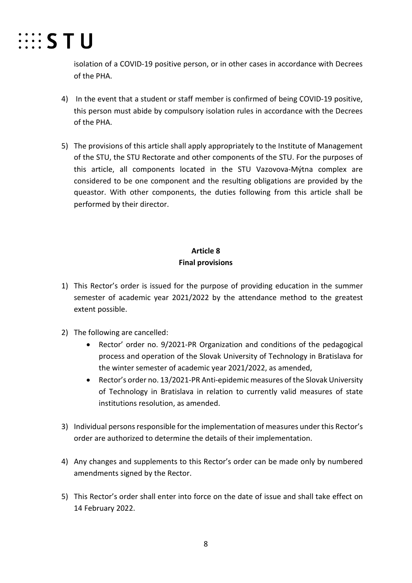

isolation of a COVID-19 positive person, or in other cases in accordance with Decrees of the PHA.

- 4) In the event that a student or staff member is confirmed of being COVID-19 positive, this person must abide by compulsory isolation rules in accordance with the Decrees of the PHA.
- 5) The provisions of this article shall apply appropriately to the Institute of Management of the STU, the STU Rectorate and other components of the STU. For the purposes of this article, all components located in the STU Vazovova-Mýtna complex are considered to be one component and the resulting obligations are provided by the queastor. With other components, the duties following from this article shall be performed by their director.

# **Article 8 Final provisions**

- 1) This Rector's order is issued for the purpose of providing education in the summer semester of academic year 2021/2022 by the attendance method to the greatest extent possible.
- 2) The following are cancelled:
	- Rector' order no. 9/2021-PR Organization and conditions of the pedagogical process and operation of the Slovak University of Technology in Bratislava for the winter semester of academic year 2021/2022, as amended,
	- Rector's order no. 13/2021-PR Anti-epidemic measures of the Slovak University of Technology in Bratislava in relation to currently valid measures of state institutions resolution, as amended.
- 3) Individual persons responsible for the implementation of measures under this Rector's order are authorized to determine the details of their implementation.
- 4) Any changes and supplements to this Rector's order can be made only by numbered amendments signed by the Rector.
- 5) This Rector's order shall enter into force on the date of issue and shall take effect on 14 February 2022.